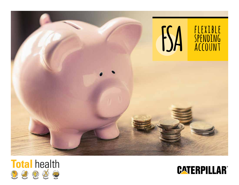



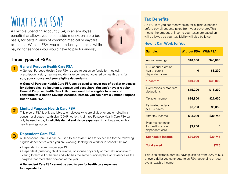## **What is an FSA?**

A Flexible Spending Account (FSA) is an employee benefit that allows you to set aside money, on a pre-tax basis, for certain kinds of common medical or daycare expenses. With an FSA, you can reduce your taxes while paying for services you would have to pay for anyway.

## **Three Types of FSAs**

1

2

3



### **General Purpose Health Care FSA**

A General Purpose Health Care FSA is used to set aside funds for medical, prescription, vision, hearing and dental expenses not covered by health plans for **you, your spouse and your eligible dependents.**

**A General Purpose Health Care FSA can be used to cover out-of-pocket expenses for deductibles, co-insurance, copays and cost share. You can't have a regular General Purpose Health Care FSA if you want to be eligible to open and contribute to a Health Savings Account. Instead, you can have a Limited Purpose Health Care FSA.**

### **Limited Purpose Health Care FSA**

This type of FSA is only available to employees who are eligible for and enrolled in a consumer-directed health plan (CDHP) option. A Limited Purpose Health Care FSA can only be used to pay for **eligible dental and vision expenses**. It can be paired with a health savings account.

### **Dependent Care FSA**

A Dependent Care FSA can be used to set aside funds for expenses for the following eligible dependents while you are working, looking for work or in school full time:

- Dependent children under age 13
- Dependent (qualifying child or relative) or spouse physically or mentally incapable of caring for himself or herself and who has the same principal place of residence as the taxpayer for more than one-half of the year

#### **A Dependent Care FSA cannot be used to pay for health care expenses for dependents.**

## **Tax Benefits**

An FSA lets you set money aside for eligible expenses before payroll deducts taxes from your paycheck. This means the amount of income your taxes are based on will be lower, so your tax liability will also be lower.

### **How It Can Work for You**

| <b>Sample:</b>                                                   | <b>Without FSA</b> | <b>With FSA</b> |
|------------------------------------------------------------------|--------------------|-----------------|
| Annual earnings                                                  | \$40,000           | \$40,000        |
| <b>FSA</b> annual election:<br>health care $+$<br>dependent care | $\mathbf{0}$       | \$3,200         |
| "Income"                                                         | \$40,000           | \$36,800        |
| Exemptions & standard<br>deductions                              | $-$15,200$         | $-$15,200$      |
| Taxable income                                                   | \$24,800           | \$21,600        |
| <b>Estimated federal</b><br>& FICA taxes                         | \$6,780            | \$6,055         |
| After-tax income                                                 | \$33,220           | \$30,745        |
| Post-tax expenses<br>for health care $+$<br>dependent care       | \$3,200            | 0               |
| <b>Spendable income</b>                                          | \$30,020           | \$30,745        |
| <b>Total saved</b>                                               |                    | \$725           |

This is an example only. Tax savings can be from 20% to 50% of every dollar you contribute to an FSA, depending on your overall taxable income.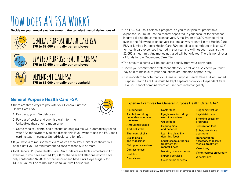## **How does AN FSA Work?**



## **GENERAL PURPOSE HEALTH CARE FSA \$75 to \$2,650 annually per employee**





**DEPENDENT CARE FSA \$75 to \$5,000 annually per household**

- Decide on your annual election amount. You can elect payroll deductions of: ... The FSA is a use-it-or-lose-it program, so you must plan for predictable expenses. You must use the money deposited in your account for expenses incurred during the same calendar year. A maximum of \$500 may be rolled over to the following calendar year (as long as you re-enroll in the Health Care FSA or Limited Purpose Health Care FSA and elect to contribute at least \$75) for health care expenses incurred in that year and will not count against the \$2,650 annual limit. Any money not used will be forfeited. There is no roll over of funds for the Dependent Care FSA.
	- The amount elected will be deducted equally from your paychecks.
	- Check your confirmation statement after you enroll and also check your first pay stub to make sure your deductions are reflected appropriately.
	- It is important to note that your General Purpose Health Care FSA or Limited Purpose Health Care FSA must be kept separate from your Dependent Care FSA. You cannot combine them or use them interchangeably.

## **General Purpose Health Care FSA**

• There are three ways to pay with your General Purpose Health Care FSA:



- 1. Pay using your FSA debit card.
- 2. Pay out of pocket and submit a claim form to UnitedHealthcare for reimbursement.
- 3. Some medical, dental and prescription drug claims will automatically roll to your FSA for payment (you can disable this if you want to use the FSA debit card instead — contact UnitedHealthcare for info).
- If you have a reimbursement claim of less than \$25, UnitedHealthcare will hold it until your reimbursement balance reaches \$25 or more.
- Total General Purpose Health Care FSA funds are available immediately. For example, if you have elected \$2,650 for the year and after one month have only contributed \$220.83 of that amount and have LASIK eye surgery for \$4,000, you will be reimbursed up to your limit of \$2,650.

#### **Acupuncture** Alcohol and drug dependency inpatient treatment Doctor fees Eyeglasses, including examination fees

Ambulance usage Artificial limbs Birth control pills Braille books

and magazines Chiropractic services Contact lenses

- Crutches
- Dental care

Guide dogs Hearing aids

**Expense Examples for General Purpose Health Care FSAs\***

and batteries

Learning disability (learning fees)

Legal fees to authorize treatment for mental illness

Nursing home expense

Nursing services Osteopathic services Pregnancy test kit

- Psychiatric care Smoking-cessation
- programs
- Sterilization fees

Substance abuse treatment

**Transportation** necessary to receive medical treatment

- **Vasectomy**
- Vision-correction surgery
- **Wheelchairs**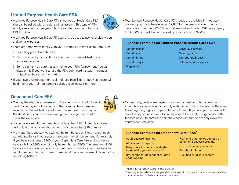## **Limited Purpose Health Care FSA**

• A Limited Purpose Health Care FSA is the type of Health Care FSA that can be paired with a health savings account. This type of FSA is only available to employees who are eligible for and enrolled in a CDHP option.



- A Limited Purpose Health Care FSA can only be used to pay for eligible vision and dental expenses.
- There are three ways to pay with your Limited Purpose Health Care FSA:
- 1. Pay using your FSA debit card.
- 2. Pay out of pocket and submit a claim form to UnitedHealthcare for reimbursement.
- 3. Some claims may automatically roll to your FSA for payment. You can disable this if you want to use the FSA debit card instead — contact UnitedHealthcare for information.
- If you have a reimbursement claim of less than \$25, UnitedHealthcare will hold it until your reimbursement balance reaches \$25 or more.

• Total Limited Purpose Health Care FSA funds are available immediately. For example, if you have elected \$2,650 for the year and after one month have only contributed \$220.83 of that amount and have LASIK eye surgery for \$4,000, you will be reimbursed up to your limit of \$2,650.

#### **Expense Examples for Limited Purpose Health Care FSAs**

Contact lenses Dental caps Dental fillings Dental X-rays Eyeglasses

LASIK eye surgery Mouth guards Orthodontia/Braces Solutions and supplies

## **Dependent Care FSA**

- You pay the eligible expenses out of pocket or with the FSA debit card. If you pay out of pocket, you then send a claim form, with receipts, to UnitedHealthcare for reimbursement. If you pay with the debit card, you must have enough funds in your account to cover the expenses.
	-
- If you have a reimbursement claim of less than \$25, UnitedHealthcare will hold it until your reimbursement balance reaches \$25 or more.
- No matter how you pay, you will not be reimbursed until you have enough contributed funds in your account to cover the reimbursement. For example, if you have contributed \$200 to your Dependent Care FSA and you have a daycare bill for \$300, you will only be reimbursed \$200. The remaining \$100 balance will roll over and wait for a contribution from your next paycheck for reimbursement. You won't need to resubmit the reimbursement claim for the remaining balance.
- Occasionally, certain employees' maximum annual contribution election amounts may be reduced to comply with Section 129 of the Internal Revenue Code regarding highly compensated employees. If you and your spouse both have the opportunity to enroll in a Dependent Care FSA, it is generally better for both of you to enroll and split the election amount to possibly avoid this contribution reduction.

#### **Expense Examples for Dependent Care FSAs\***

Adult daycare facilities

After-school programs

Babysitters inside or outside the home while you are at work\*\*

Day camps for dependent children under age 13

FICA and other taxes you pay on behalf of a daycare provider

Licensed nursery schools

Preschool tuition

Qualified child care centers

\*See IRS Publication 503 for a complete list.

\*\*As long as the individual is not your child under age 19 or anyone you or your spouse can claim as a dependent for federal income tax purposes.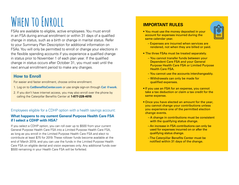# **When to Enroll**

FSAs are available to eligible, active employees. You must enroll in an FSA during annual enrollment or within 31 days of a qualified change in status, such as a birth or change in marital status. Refer to your Summary Plan Description for additional information on FSAs. You will only be permitted to enroll or change your elections in the flexible spending accounts if you experience a qualified change in status prior to November 1 of each plan year. If the qualified change in status occurs after October 31, you must wait until the next annual enrollment period to make any changes.

## **How to Enroll**

For easier and faster enrollment, choose online enrollment.

- 1. Log on to **[CatBenefitsCenter.com](www.CatBenefitsCenter.com)** or use single sign-on through **Cat @work**.
- 2. If you don't have internet access, you may also enroll over the phone by calling the Caterpillar Benefits Center at **1-877-228-4010**.

Employees eligible for a CDHP option with a health savings account:

### **What happens to my current General Purpose Health Care FSA if I select a CDHP with HSA?**

If you select a CDHP option, you can roll over up to \$500 from your current General Purpose Health Care FSA into a Limited Purpose Health Care FSA, as long as you enroll in the Limited Purpose Health Care FSA and elect to contribute at least \$75 for 2019. These rollover funds become available at the end of March 2019, and you can use the funds in the Limited Purpose Health Care FSA on eligible dental and vision expenses only. Any additional funds over \$500 remaining in your Health Care FSA will be forfeited.

## **IMPORTANT RULES**

• You must use the money deposited in your account for expenses incurred during the same calendar year.



- Expenses are incurred when services are rendered, not when they are billed or paid.
- The three FSAs must be treated separately.
	- You cannot transfer funds between your Dependent Care FSA and your General Purpose Health Care FSA or Limited Purpose Health Care FSA.
	- You cannot use the accounts interchangeably.
	- Withdrawals can only be made for qualified expenses.
- If you use an FSA for an expense, you cannot take a tax deduction or claim a tax credit for the same expense.
- Once you have elected an amount for the year, you cannot change your contributions unless you experience one of the permitted election change events.
	- A change in contributions must be consistent with the qualifying status change.
	- An increase in FSA contributions can only be used for expenses incurred on or after the qualifying status change.
	- The Caterpillar Benefits Center must be notified within 31 days of the change.